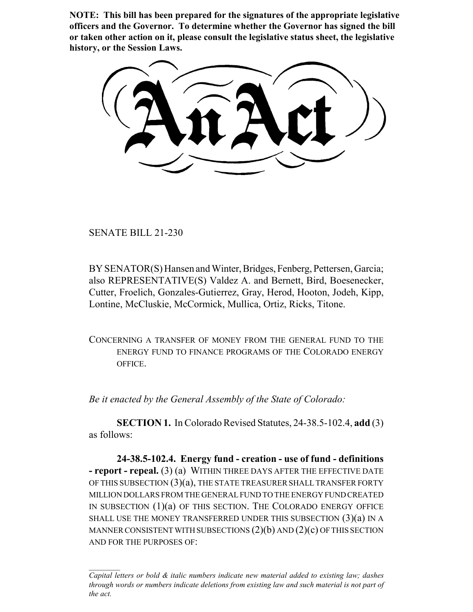**NOTE: This bill has been prepared for the signatures of the appropriate legislative officers and the Governor. To determine whether the Governor has signed the bill or taken other action on it, please consult the legislative status sheet, the legislative history, or the Session Laws.**

SENATE BILL 21-230

BY SENATOR(S) Hansen and Winter, Bridges, Fenberg, Pettersen, Garcia; also REPRESENTATIVE(S) Valdez A. and Bernett, Bird, Boesenecker, Cutter, Froelich, Gonzales-Gutierrez, Gray, Herod, Hooton, Jodeh, Kipp, Lontine, McCluskie, McCormick, Mullica, Ortiz, Ricks, Titone.

CONCERNING A TRANSFER OF MONEY FROM THE GENERAL FUND TO THE ENERGY FUND TO FINANCE PROGRAMS OF THE COLORADO ENERGY OFFICE.

*Be it enacted by the General Assembly of the State of Colorado:*

**SECTION 1.** In Colorado Revised Statutes, 24-38.5-102.4, **add** (3) as follows:

**24-38.5-102.4. Energy fund - creation - use of fund - definitions - report - repeal.** (3) (a) WITHIN THREE DAYS AFTER THE EFFECTIVE DATE OF THIS SUBSECTION (3)(a), THE STATE TREASURER SHALL TRANSFER FORTY MILLION DOLLARS FROM THE GENERAL FUND TO THE ENERGY FUND CREATED IN SUBSECTION (1)(a) OF THIS SECTION. THE COLORADO ENERGY OFFICE SHALL USE THE MONEY TRANSFERRED UNDER THIS SUBSECTION  $(3)(a)$  IN A MANNER CONSISTENT WITH SUBSECTIONS  $(2)(b)$  AND  $(2)(c)$  OF THIS SECTION AND FOR THE PURPOSES OF:

*Capital letters or bold & italic numbers indicate new material added to existing law; dashes through words or numbers indicate deletions from existing law and such material is not part of the act.*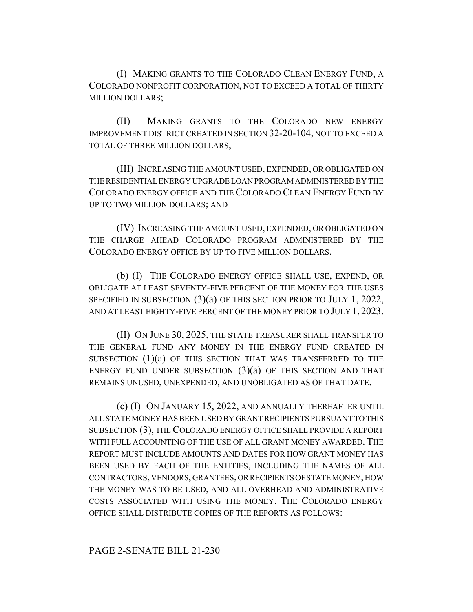(I) MAKING GRANTS TO THE COLORADO CLEAN ENERGY FUND, A COLORADO NONPROFIT CORPORATION, NOT TO EXCEED A TOTAL OF THIRTY MILLION DOLLARS;

(II) MAKING GRANTS TO THE COLORADO NEW ENERGY IMPROVEMENT DISTRICT CREATED IN SECTION 32-20-104, NOT TO EXCEED A TOTAL OF THREE MILLION DOLLARS;

(III) INCREASING THE AMOUNT USED, EXPENDED, OR OBLIGATED ON THE RESIDENTIAL ENERGY UPGRADE LOAN PROGRAM ADMINISTERED BY THE COLORADO ENERGY OFFICE AND THE COLORADO CLEAN ENERGY FUND BY UP TO TWO MILLION DOLLARS; AND

(IV) INCREASING THE AMOUNT USED, EXPENDED, OR OBLIGATED ON THE CHARGE AHEAD COLORADO PROGRAM ADMINISTERED BY THE COLORADO ENERGY OFFICE BY UP TO FIVE MILLION DOLLARS.

(b) (I) THE COLORADO ENERGY OFFICE SHALL USE, EXPEND, OR OBLIGATE AT LEAST SEVENTY-FIVE PERCENT OF THE MONEY FOR THE USES SPECIFIED IN SUBSECTION (3)(a) OF THIS SECTION PRIOR TO JULY 1, 2022, AND AT LEAST EIGHTY-FIVE PERCENT OF THE MONEY PRIOR TO JULY 1, 2023.

(II) ON JUNE 30, 2025, THE STATE TREASURER SHALL TRANSFER TO THE GENERAL FUND ANY MONEY IN THE ENERGY FUND CREATED IN SUBSECTION (1)(a) OF THIS SECTION THAT WAS TRANSFERRED TO THE ENERGY FUND UNDER SUBSECTION  $(3)(a)$  OF THIS SECTION AND THAT REMAINS UNUSED, UNEXPENDED, AND UNOBLIGATED AS OF THAT DATE.

(c) (I) ON JANUARY 15, 2022, AND ANNUALLY THEREAFTER UNTIL ALL STATE MONEY HAS BEEN USED BY GRANT RECIPIENTS PURSUANT TO THIS SUBSECTION (3), THE COLORADO ENERGY OFFICE SHALL PROVIDE A REPORT WITH FULL ACCOUNTING OF THE USE OF ALL GRANT MONEY AWARDED. THE REPORT MUST INCLUDE AMOUNTS AND DATES FOR HOW GRANT MONEY HAS BEEN USED BY EACH OF THE ENTITIES, INCLUDING THE NAMES OF ALL CONTRACTORS, VENDORS, GRANTEES, OR RECIPIENTS OF STATE MONEY, HOW THE MONEY WAS TO BE USED, AND ALL OVERHEAD AND ADMINISTRATIVE COSTS ASSOCIATED WITH USING THE MONEY. THE COLORADO ENERGY OFFICE SHALL DISTRIBUTE COPIES OF THE REPORTS AS FOLLOWS:

## PAGE 2-SENATE BILL 21-230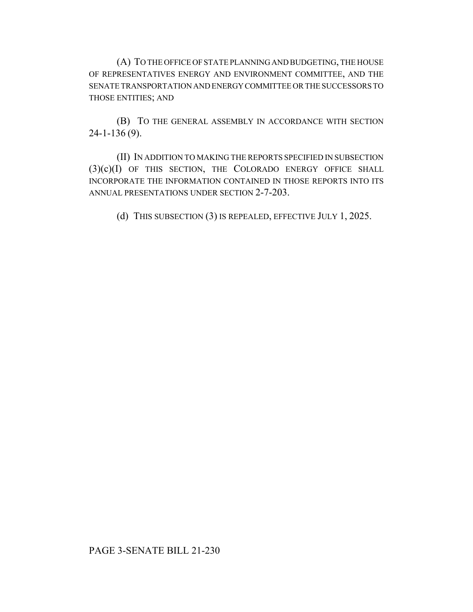(A) TO THE OFFICE OF STATE PLANNING AND BUDGETING, THE HOUSE OF REPRESENTATIVES ENERGY AND ENVIRONMENT COMMITTEE, AND THE SENATE TRANSPORTATION AND ENERGY COMMITTEE OR THE SUCCESSORS TO THOSE ENTITIES; AND

(B) TO THE GENERAL ASSEMBLY IN ACCORDANCE WITH SECTION 24-1-136 (9).

(II) IN ADDITION TO MAKING THE REPORTS SPECIFIED IN SUBSECTION (3)(c)(I) OF THIS SECTION, THE COLORADO ENERGY OFFICE SHALL INCORPORATE THE INFORMATION CONTAINED IN THOSE REPORTS INTO ITS ANNUAL PRESENTATIONS UNDER SECTION 2-7-203.

(d) THIS SUBSECTION (3) IS REPEALED, EFFECTIVE JULY 1, 2025.